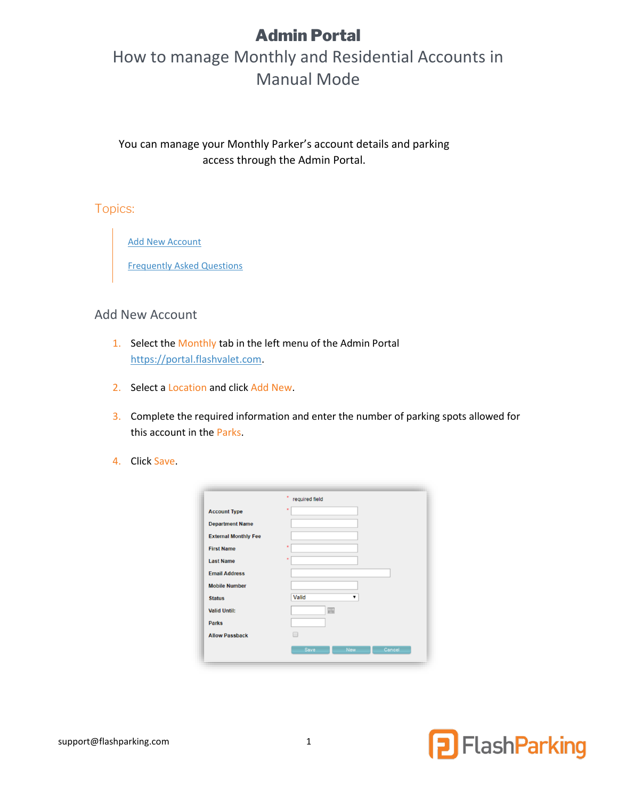# Admin Portal

# How to manage Monthly and Residential Accounts in Manual Mode

You can manage your Monthly Parker's account details and parking access through the Admin Portal.

Topics:

[Add New Account](#page-0-0)

[Frequently Asked Questions](#page-1-0)

#### <span id="page-0-0"></span>Add New Account

- 1. Select the Monthly tab in the left menu of the Admin Portal [https://portal.flashvalet.com.](https://portal.flashvalet.com/)
- 2. Select a Location and click Add New.
- 3. Complete the required information and enter the number of parking spots allowed for this account in the Parks.
- 4. Click Save.

|                             | required field               |
|-----------------------------|------------------------------|
| <b>Account Type</b>         | $\star$                      |
| <b>Department Name</b>      |                              |
| <b>External Monthly Fee</b> |                              |
| <b>First Name</b>           | $\star$                      |
| <b>Last Name</b>            | $\bullet$                    |
| <b>Email Address</b>        |                              |
| <b>Mobile Number</b>        |                              |
| <b>Status</b>               | Valid                        |
| <b>Valid Until:</b>         | 圃                            |
| <b>Parks</b>                |                              |
| <b>Allow Passback</b>       | ۰                            |
|                             | Save<br>Cancel<br><b>New</b> |

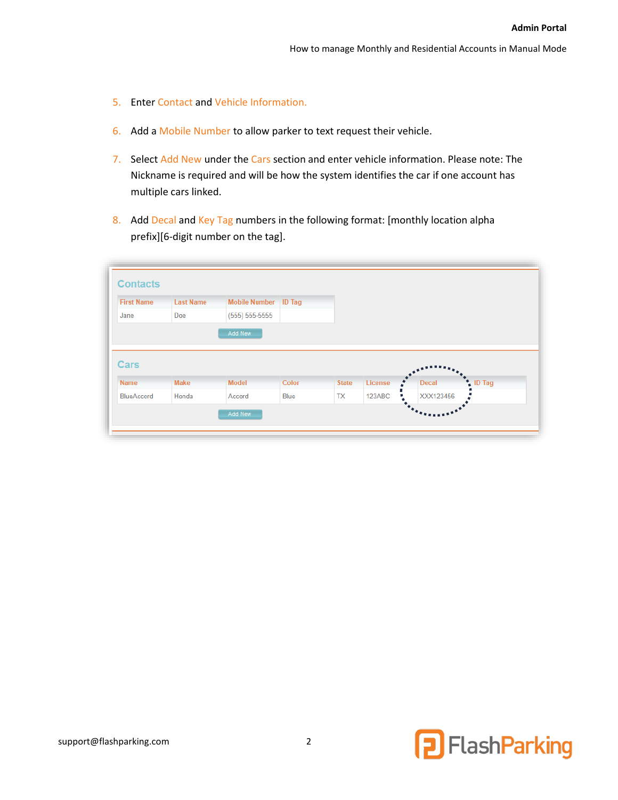- 5. Enter Contact and Vehicle Information.
- 6. Add a Mobile Number to allow parker to text request their vehicle.
- 7. Select Add New under the Cars section and enter vehicle information. Please note: The Nickname is required and will be how the system identifies the car if one account has multiple cars linked.
- <span id="page-1-0"></span>8. Add Decal and Key Tag numbers in the following format: [monthly location alpha prefix][6-digit number on the tag].

| <b>First Name</b> | <b>Last Name</b> | Mobile Number   ID Tag |       |              |         |              |               |
|-------------------|------------------|------------------------|-------|--------------|---------|--------------|---------------|
| Jane              | Doe              | $(555) 555-5555$       |       |              |         |              |               |
|                   |                  | Add New                |       |              |         |              |               |
|                   |                  |                        |       |              |         |              |               |
|                   |                  |                        |       |              |         |              |               |
|                   |                  |                        |       |              |         |              |               |
| Cars              |                  |                        |       |              |         |              |               |
| <b>Name</b>       | <b>Make</b>      | <b>Model</b>           | Color | <b>State</b> | License | <b>Decal</b> | <b>ID Tag</b> |